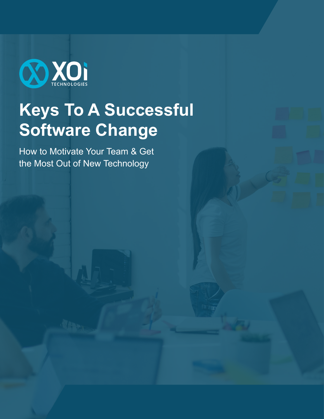

# **Keys To A Successful Software Change**

How to Motivate Your Team & Get the Most Out of New Technology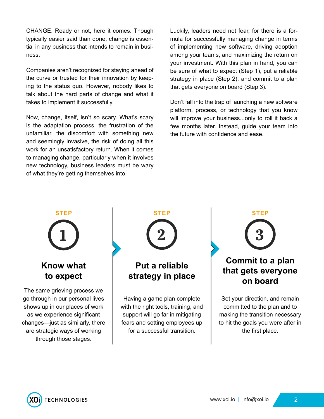CHANGE. Ready or not, here it comes. Though typically easier said than done, change is essential in any business that intends to remain in business.

Companies aren't recognized for staying ahead of the curve or trusted for their innovation by keeping to the status quo. However, nobody likes to talk about the hard parts of change and what it takes to implement it successfully.

Now, change, itself, isn't so scary. What's scary is the adaptation process, the frustration of the unfamiliar, the discomfort with something new and seemingly invasive, the risk of doing all this work for an unsatisfactory return. When it comes to managing change, particularly when it involves new technology, business leaders must be wary of what they're getting themselves into.

Luckily, leaders need not fear, for there is a formula for successfully managing change in terms of implementing new software, driving adoption among your teams, and maximizing the return on your investment. With this plan in hand, you can be sure of what to expect (Step 1), put a reliable strategy in place (Step 2), and commit to a plan that gets everyone on board (Step 3).

Don't fall into the trap of launching a new software platform, process, or technology that you know will improve your business...only to roll it back a few months later. Instead, guide your team into the future with confidence and ease.

# **1 STEP**

#### **Know what to expect**

The same grieving process we go through in our personal lives shows up in our places of work as we experience significant changes—just as similarly, there are strategic ways of working through those stages.



# **Put a reliable strategy in place**

Having a game plan complete with the right tools, training, and support will go far in mitigating fears and setting employees up for a successful transition.



### **Commit to a plan that gets everyone on board**

Set your direction, and remain committed to the plan and to making the transition necessary to hit the goals you were after in the first place.

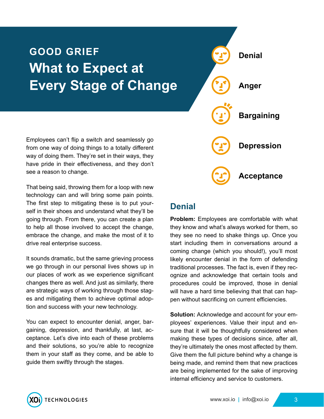# **GOOD GRIEF What to Expect at Every Stage of Change**

**Denial Anger Bargaining Depression Acceptance**

Employees can't flip a switch and seamlessly go from one way of doing things to a totally different way of doing them. They're set in their ways, they have pride in their effectiveness, and they don't see a reason to change.

That being said, throwing them for a loop with new technology can and will bring some pain points. The first step to mitigating these is to put yourself in their shoes and understand what they'll be going through. From there, you can create a plan to help all those involved to accept the change, embrace the change, and make the most of it to drive real enterprise success.

It sounds dramatic, but the same grieving process we go through in our personal lives shows up in our places of work as we experience significant changes there as well. And just as similarly, there are strategic ways of working through those stages and mitigating them to achieve optimal adoption and success with your new technology.

You can expect to encounter denial, anger, bargaining, depression, and thankfully, at last, acceptance. Let's dive into each of these problems and their solutions, so you're able to recognize them in your staff as they come, and be able to guide them swiftly through the stages.

#### **Denial**

**Problem:** Employees are comfortable with what they know and what's always worked for them, so they see no need to shake things up. Once you start including them in conversations around a coming change (which you should!), you'll most likely encounter denial in the form of defending traditional processes. The fact is, even if they recognize and acknowledge that certain tools and procedures could be improved, those in denial will have a hard time believing that that can happen without sacrificing on current efficiencies.

**Solution:** Acknowledge and account for your employees' experiences. Value their input and ensure that it will be thoughtfully considered when making these types of decisions since, after all, they're ultimately the ones most affected by them. Give them the full picture behind why a change is being made, and remind them that new practices are being implemented for the sake of improving internal efficiency and service to customers.

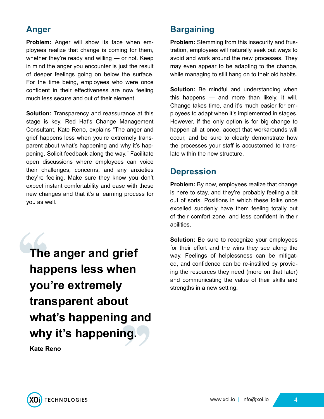#### **Anger**

**Problem:** Anger will show its face when employees realize that change is coming for them, whether they're ready and willing — or not. Keep in mind the anger you encounter is just the result of deeper feelings going on below the surface. For the time being, employees who were once confident in their effectiveness are now feeling much less secure and out of their element.

**Solution:** Transparency and reassurance at this stage is key. Red Hat's Change Management Consultant, Kate Reno, explains "The anger and grief happens less when you're extremely transparent about what's happening and why it's happening. Solicit feedback along the way." Facilitate open discussions where employees can voice their challenges, concerns, and any anxieties they're feeling. Make sure they know you don't expect instant comfortability and ease with these new changes and that it's a learning process for you as well.

**The anger and grief happens less when you're extremely transparent about what's happening and why it's happening. Kate Reno**

#### **Bargaining**

**Problem:** Stemming from this insecurity and frustration, employees will naturally seek out ways to avoid and work around the new processes. They may even appear to be adapting to the change, while managing to still hang on to their old habits.

**Solution:** Be mindful and understanding when this happens — and more than likely, it will. Change takes time, and it's much easier for employees to adapt when it's implemented in stages. However, if the only option is for big change to happen all at once, accept that workarounds will occur, and be sure to clearly demonstrate how the processes your staff is accustomed to translate within the new structure.

#### **Depression**

**Problem:** By now, employees realize that change is here to stay, and they're probably feeling a bit out of sorts. Positions in which these folks once excelled suddenly have them feeling totally out of their comfort zone, and less confident in their abilities.

**Solution:** Be sure to recognize your employees for their effort and the wins they see along the way. Feelings of helplessness can be mitigated, and confidence can be re-instilled by providing the resources they need (more on that later) and communicating the value of their skills and strengths in a new setting.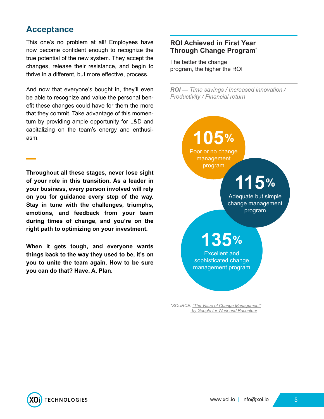#### **Acceptance**

This one's no problem at all! Employees have now become confident enough to recognize the true potential of the new system. They accept the changes, release their resistance, and begin to thrive in a different, but more effective, process.

And now that everyone's bought in, they'll even be able to recognize and value the personal benefit these changes could have for them the more that they commit. Take advantage of this momentum by providing ample opportunity for L&D and capitalizing on the team's energy and enthusiasm.

**Throughout all these stages, never lose sight of your role in this transition. As a leader in your business, every person involved will rely on you for guidance every step of the way. Stay in tune with the challenges, triumphs, emotions, and feedback from your team during times of change, and you're on the right path to optimizing on your investment.**

**When it gets tough, and everyone wants things back to the way they used to be, it's on you to unite the team again. How to be sure you can do that? Have. A. Plan.**

#### **ROI Achieved in First Year Through Change Program\***

The better the change program, the higher the ROI

*ROI — Time savings / Increased innovation / Productivity / Financial return*



 *[by Google for Work and Raconteur](https://raconteur.uberflip.com/i/670675-google-change-managment/4)*

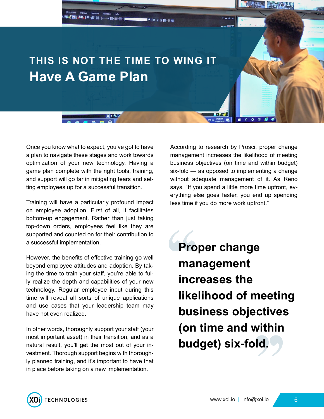

Once you know what to expect, you've got to have a plan to navigate these stages and work towards optimization of your new technology. Having a game plan complete with the right tools, training, and support will go far in mitigating fears and setting employees up for a successful transition.

Training will have a particularly profound impact on employee adoption. First of all, it facilitates bottom-up engagement. Rather than just taking top-down orders, employees feel like they are supported and counted on for their contribution to a successful implementation.

However, the benefits of effective training go well beyond employee attitudes and adoption. By taking the time to train your staff, you're able to fully realize the depth and capabilities of your new technology. Regular employee input during this time will reveal all sorts of unique applications and use cases that your leadership team may have not even realized.

In other words, thoroughly support your staff (your most important asset) in their transition, and as a natural result, you'll get the most out of your investment. Thorough support begins with thoroughly planned training, and it's important to have that in place before taking on a new implementation.

According to research by Prosci, proper change management increases the likelihood of meeting business objectives (on time and within budget) six-fold — as opposed to implementing a change without adequate management of it. As Reno says, "If you spend a little more time upfront, everything else goes faster, you end up spending less time if you do more work upfront."

**Proper change management increases the likelihood of meeting business objectives (on time and within budget) six-fold.**

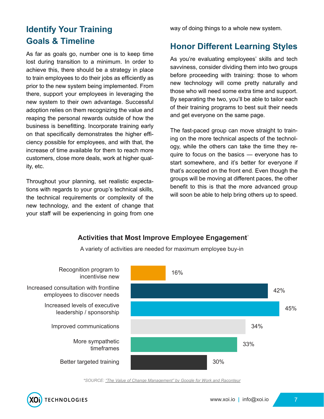# **Identify Your Training Goals & Timeline**

As far as goals go, number one is to keep time lost during transition to a minimum. In order to achieve this, there should be a strategy in place to train employees to do their jobs as efficiently as prior to the new system being implemented. From there, support your employees in leveraging the new system to their own advantage. Successful adoption relies on them recognizing the value and reaping the personal rewards outside of how the business is benefitting. Incorporate training early on that specifically demonstrates the higher efficiency possible for employees, and with that, the increase of time available for them to reach more customers, close more deals, work at higher quality, etc.

Throughout your planning, set realistic expectations with regards to your group's technical skills, the technical requirements or complexity of the new technology, and the extent of change that your staff will be experiencing in going from one

way of doing things to a whole new system.

### **Honor Different Learning Styles**

As you're evaluating employees' skills and tech savviness, consider dividing them into two groups before proceeding with training: those to whom new technology will come pretty naturally and those who will need some extra time and support. By separating the two, you'll be able to tailor each of their training programs to best suit their needs and get everyone on the same page.

The fast-paced group can move straight to training on the more technical aspects of the technology, while the others can take the time they require to focus on the basics — everyone has to start somewhere, and it's better for everyone if that's accepted on the front end. Even though the groups will be moving at different paces, the other benefit to this is that the more advanced group will soon be able to help bring others up to speed.

#### **Activities that Most Improve Employee Engagement\***



A variety of activities are needed for maximum employee buy-in

*\*SOURCE: ["The Value of Change Management" by Google for Work and Raconteur](https://raconteur.uberflip.com/i/670675-google-change-managment/4)*

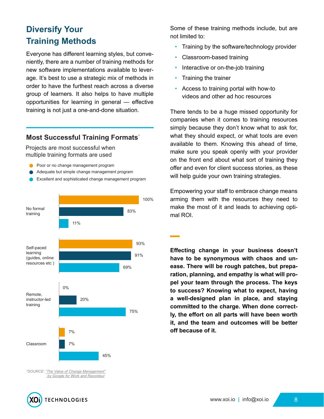# **Diversify Your Training Methods**

Everyone has different learning styles, but conveniently, there are a number of training methods for new software implementations available to leverage. It's best to use a strategic mix of methods in order to have the furthest reach across a diverse group of learners. It also helps to have multiple opportunities for learning in general — effective training is not just a one-and-done situation.

#### **Most Successful Training Formats\***

Projects are most successful when multiple training formats are used

- **Poor or no change management program**
- Adequate but simple change management program
- Excellent and sophisticated change management program



Some of these training methods include, but are not limited to:

- Training by the software/technology provider
- Classroom-based training
- Interactive or on-the-job training
- Training the trainer
- Access to training portal with how-to videos and other ad hoc resources

There tends to be a huge missed opportunity for companies when it comes to training resources simply because they don't know what to ask for, what they should expect, or what tools are even available to them. Knowing this ahead of time, make sure you speak openly with your provider on the front end about what sort of training they offer and even for client success stories, as these will help guide your own training strategies.

Empowering your staff to embrace change means arming them with the resources they need to make the most of it and leads to achieving optimal ROI.

**Effecting change in your business doesn't have to be synonymous with chaos and unease. There will be rough patches, but preparation, planning, and empathy is what will propel your team through the process. The keys to success? Knowing what to expect, having a well-designed plan in place, and staying committed to the charge. When done correctly, the effort on all parts will have been worth it, and the team and outcomes will be better off because of it.**

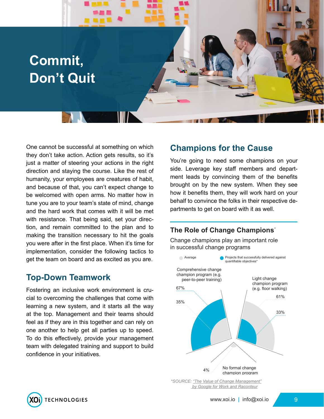# **Commit, Don't Quit**

One cannot be successful at something on which they don't take action. Action gets results, so it's just a matter of steering your actions in the right direction and staying the course. Like the rest of humanity, your employees are creatures of habit, and because of that, you can't expect change to be welcomed with open arms. No matter how in tune you are to your team's state of mind, change and the hard work that comes with it will be met with resistance. That being said, set your direction, and remain committed to the plan and to making the transition necessary to hit the goals you were after in the first place. When it's time for implementation, consider the following tactics to get the team on board and as excited as you are.

#### **Top-Down Teamwork**

Fostering an inclusive work environment is crucial to overcoming the challenges that come with learning a new system, and it starts all the way at the top. Management and their teams should feel as if they are in this together and can rely on one another to help get all parties up to speed. To do this effectively, provide your management team with delegated training and support to build confidence in your initiatives.

#### **Champions for the Cause**

You're going to need some champions on your side. Leverage key staff members and department leads by convincing them of the benefits brought on by the new system. When they see how it benefits them, they will work hard on your behalf to convince the folks in their respective departments to get on board with it as well.

#### **The Role of Change Champions\***

Change champions play an important role in successful change programs



*\*SOURCE: ["The Value of Change Management"](https://raconteur.uberflip.com/i/670675-google-change-managment/4)  [by Google for Work and Raconteur](https://raconteur.uberflip.com/i/670675-google-change-managment/4)*